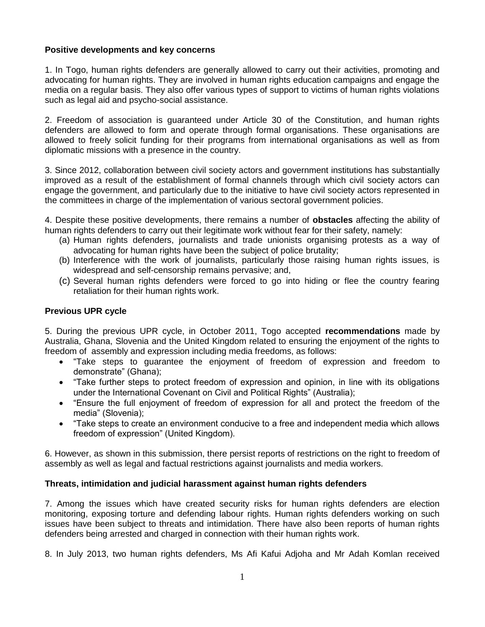## **Positive developments and key concerns**

1. In Togo, human rights defenders are generally allowed to carry out their activities, promoting and advocating for human rights. They are involved in human rights education campaigns and engage the media on a regular basis. They also offer various types of support to victims of human rights violations such as legal aid and psycho-social assistance.

2. Freedom of association is guaranteed under Article 30 of the Constitution, and human rights defenders are allowed to form and operate through formal organisations. These organisations are allowed to freely solicit funding for their programs from international organisations as well as from diplomatic missions with a presence in the country.

3. Since 2012, collaboration between civil society actors and government institutions has substantially improved as a result of the establishment of formal channels through which civil society actors can engage the government, and particularly due to the initiative to have civil society actors represented in the committees in charge of the implementation of various sectoral government policies.

4. Despite these positive developments, there remains a number of **obstacles** affecting the ability of human rights defenders to carry out their legitimate work without fear for their safety, namely:

- (a) Human rights defenders, journalists and trade unionists organising protests as a way of advocating for human rights have been the subject of police brutality;
- (b) Interference with the work of journalists, particularly those raising human rights issues, is widespread and self-censorship remains pervasive; and,
- (c) Several human rights defenders were forced to go into hiding or flee the country fearing retaliation for their human rights work.

## **Previous UPR cycle**

5. During the previous UPR cycle, in October 2011, Togo accepted **recommendations** made by Australia, Ghana, Slovenia and the United Kingdom related to ensuring the enjoyment of the rights to freedom of assembly and expression including media freedoms, as follows:

- "Take steps to guarantee the enjoyment of freedom of expression and freedom to demonstrate" (Ghana);
- "Take further steps to protect freedom of expression and opinion, in line with its obligations under the International Covenant on Civil and Political Rights" (Australia);
- "Ensure the full enjoyment of freedom of expression for all and protect the freedom of the media" (Slovenia);
- "Take steps to create an environment conducive to a free and independent media which allows freedom of expression" (United Kingdom).

6. However, as shown in this submission, there persist reports of restrictions on the right to freedom of assembly as well as legal and factual restrictions against journalists and media workers.

# **Threats, intimidation and judicial harassment against human rights defenders**

7. Among the issues which have created security risks for human rights defenders are election monitoring, exposing torture and defending labour rights. Human rights defenders working on such issues have been subject to threats and intimidation. There have also been reports of human rights defenders being arrested and charged in connection with their human rights work.

8. In July 2013, two human rights defenders, Ms Afi Kafui Adjoha and Mr Adah Komlan received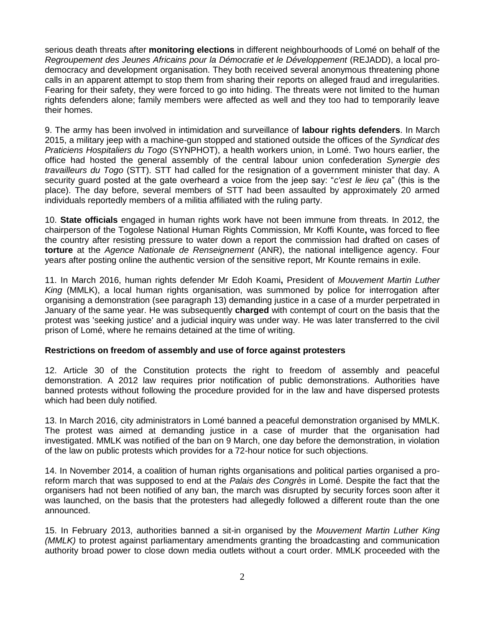serious death threats after **monitoring elections** in different neighbourhoods of Lomé on behalf of the *Regroupement des Jeunes Africains pour la Démocratie et le Développement* (REJADD), a local prodemocracy and development organisation. They both received several anonymous threatening phone calls in an apparent attempt to stop them from sharing their reports on alleged fraud and irregularities. Fearing for their safety, they were forced to go into hiding. The threats were not limited to the human rights defenders alone; family members were affected as well and they too had to temporarily leave their homes.

9. The army has been involved in intimidation and surveillance of **labour rights defenders**. In March 2015, a military jeep with a machine-gun stopped and stationed outside the offices of the *Syndicat des Praticiens Hospitaliers du Togo* (SYNPHOT), a health workers union, in Lomé. Two hours earlier, the office had hosted the general assembly of the central labour union confederation *Synergie des travailleurs du Togo* (STT). STT had called for the resignation of a government minister that day. A security guard posted at the gate overheard a voice from the jeep say: "*c'est le lieu ça*" (this is the place). The day before, several members of STT had been assaulted by approximately 20 armed individuals reportedly members of a militia affiliated with the ruling party.

10. **State officials** engaged in human rights work have not been immune from threats. In 2012, the chairperson of the Togolese National Human Rights Commission, Mr Koffi Kounte**,** was forced to flee the country after resisting pressure to water down a report the commission had drafted on cases of **torture** at the *Agence Nationale de Renseignement* (ANR), the national intelligence agency. Four years after posting online the authentic version of the sensitive report, Mr Kounte remains in exile.

11. In March 2016, human rights defender Mr Edoh Koami**,** President of *Mouvement Martin Luther King* (MMLK), a local human rights organisation, was summoned by police for interrogation after organising a demonstration (see paragraph 13) demanding justice in a case of a murder perpetrated in January of the same year. He was subsequently **charged** with contempt of court on the basis that the protest was 'seeking justice' and a judicial inquiry was under way. He was later transferred to the civil prison of Lomé, where he remains detained at the time of writing.

# **Restrictions on freedom of assembly and use of force against protesters**

12. Article 30 of the Constitution protects the right to freedom of assembly and peaceful demonstration. A 2012 law requires prior notification of public demonstrations. Authorities have banned protests without following the procedure provided for in the law and have dispersed protests which had been duly notified.

13. In March 2016, city administrators in Lomé banned a peaceful demonstration organised by MMLK. The protest was aimed at demanding justice in a case of murder that the organisation had investigated. MMLK was notified of the ban on 9 March, one day before the demonstration, in violation of the law on public protests which provides for a 72-hour notice for such objections.

14. In November 2014, a coalition of human rights organisations and political parties organised a proreform march that was supposed to end at the *Palais des Congrès* in Lomé. Despite the fact that the organisers had not been notified of any ban, the march was disrupted by security forces soon after it was launched, on the basis that the protesters had allegedly followed a different route than the one announced.

15. In February 2013, authorities banned a sit-in organised by the *Mouvement Martin Luther King (MMLK)* to protest against parliamentary amendments granting the broadcasting and communication authority broad power to close down media outlets without a court order. MMLK proceeded with the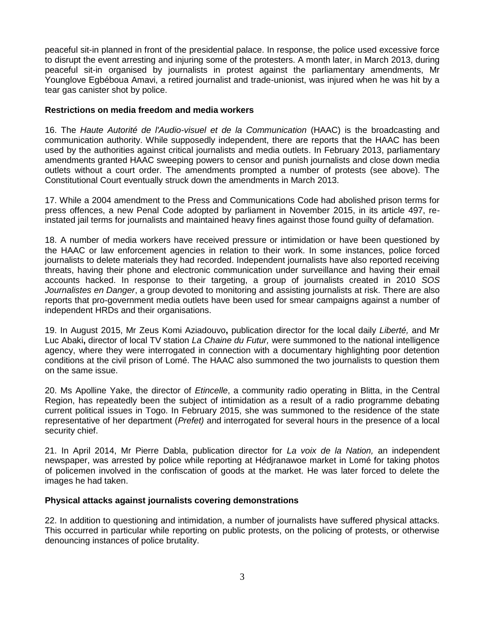peaceful sit-in planned in front of the presidential palace. In response, the police used excessive force to disrupt the event arresting and injuring some of the protesters. A month later, in March 2013, during peaceful sit-in organised by journalists in protest against the parliamentary amendments, Mr Younglove Egbéboua Amavi, a retired journalist and trade-unionist, was injured when he was hit by a tear gas canister shot by police.

### **Restrictions on media freedom and media workers**

16. The *Haute Autorité de l'Audio-visuel et de la Communication* (HAAC) is the broadcasting and communication authority. While supposedly independent, there are reports that the HAAC has been used by the authorities against critical journalists and media outlets. In February 2013, parliamentary amendments granted HAAC sweeping powers to censor and punish journalists and close down media outlets without a court order. The amendments prompted a number of protests (see above). The Constitutional Court eventually struck down the amendments in March 2013.

17. While a 2004 amendment to the Press and Communications Code had abolished prison terms for press offences, a new Penal Code adopted by parliament in November 2015, in its article 497, reinstated jail terms for journalists and maintained heavy fines against those found guilty of defamation.

18. A number of media workers have received pressure or intimidation or have been questioned by the HAAC or law enforcement agencies in relation to their work. In some instances, police forced journalists to delete materials they had recorded. Independent journalists have also reported receiving threats, having their phone and electronic communication under surveillance and having their email accounts hacked. In response to their targeting, a group of journalists created in 2010 *SOS Journalistes en Danger*, a group devoted to monitoring and assisting journalists at risk. There are also reports that pro-government media outlets have been used for smear campaigns against a number of independent HRDs and their organisations.

19. In August 2015, Mr Zeus Komi Aziadouvo**,** publication director for the local daily *Liberté,* and Mr Luc Abaki**,** director of local TV station *La Chaine du Futur,* were summoned to the national intelligence agency, where they were interrogated in connection with a documentary highlighting poor detention conditions at the civil prison of Lomé. The HAAC also summoned the two journalists to question them on the same issue.

20. Ms Apolline Yake, the director of *Etincelle*, a community radio operating in Blitta, in the Central Region, has repeatedly been the subject of intimidation as a result of a radio programme debating current political issues in Togo. In February 2015, she was summoned to the residence of the state representative of her department (*Prefet)* and interrogated for several hours in the presence of a local security chief.

21. In April 2014, Mr Pierre Dabla, publication director for *La voix de la Nation,* an independent newspaper, was arrested by police while reporting at Hédjranawoe market in Lomé for taking photos of policemen involved in the confiscation of goods at the market. He was later forced to delete the images he had taken.

# **Physical attacks against journalists covering demonstrations**

22. In addition to questioning and intimidation, a number of journalists have suffered physical attacks. This occurred in particular while reporting on public protests, on the policing of protests, or otherwise denouncing instances of police brutality.